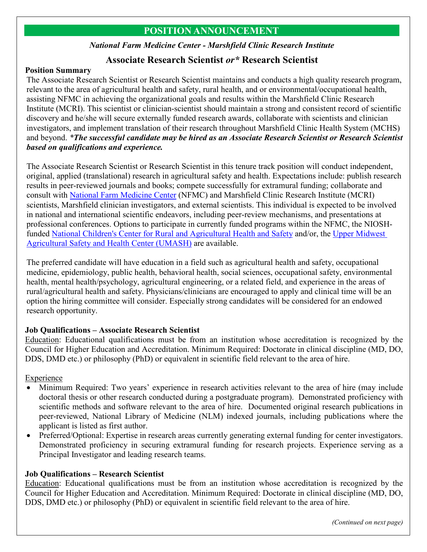# **POSITION ANNOUNCEMENT**

#### *National Farm Medicine Center - Marshfield Clinic Research Institute*

## **Associate Research Scientist** *or\** **Research Scientist**

#### **Position Summary**

The Associate Research Scientist or Research Scientist maintains and conducts a high quality research program, relevant to the area of agricultural health and safety, rural health, and or environmental/occupational health, assisting NFMC in achieving the organizational goals and results within the Marshfield Clinic Research Institute (MCRI). This scientist or clinician-scientist should maintain a strong and consistent record of scientific discovery and he/she will secure externally funded research awards, collaborate with scientists and clinician investigators, and implement translation of their research throughout Marshfield Clinic Health System (MCHS) and beyond. *\*The successful candidate may be hired as an Associate Research Scientist or Research Scientist based on qualifications and experience.*

The Associate Research Scientist or Research Scientist in this tenure track position will conduct independent, original, applied (translational) research in agricultural safety and health. Expectations include: publish research results in peer-reviewed journals and books; compete successfully for extramural funding; collaborate and consult with [National Farm Medicine Center](http://www.marshfieldresearch.org/nfmc) (NFMC) and Marshfield Clinic Research Institute (MCRI) scientists, Marshfield clinician investigators, and external scientists. This individual is expected to be involved in national and international scientific endeavors, including peer-review mechanisms, and presentations at professional conferences. Options to participate in currently funded programs within the NFMC, the NIOSHfunded [National Children's Center for Rural and Agricultural Health and Safety](http://www.marshfieldresearch.org/nccrahs) and/or, the [Upper Midwest](http://umash.umn.edu/)  [Agricultural Safety and Health Center \(UMASH\)](http://umash.umn.edu/) are available.

The preferred candidate will have education in a field such as agricultural health and safety, occupational medicine, epidemiology, public health, behavioral health, social sciences, occupational safety, environmental health, mental health/psychology, agricultural engineering, or a related field, and experience in the areas of rural/agricultural health and safety. Physicians/clinicians are encouraged to apply and clinical time will be an option the hiring committee will consider. Especially strong candidates will be considered for an endowed research opportunity.

## **Job Qualifications – Associate Research Scientist**

Education: Educational qualifications must be from an institution whose accreditation is recognized by the Council for Higher Education and Accreditation. Minimum Required: Doctorate in clinical discipline (MD, DO, DDS, DMD etc.) or philosophy (PhD) or equivalent in scientific field relevant to the area of hire.

## Experience

- Minimum Required: Two years' experience in research activities relevant to the area of hire (may include doctoral thesis or other research conducted during a postgraduate program). Demonstrated proficiency with scientific methods and software relevant to the area of hire. Documented original research publications in peer-reviewed, National Library of Medicine (NLM) indexed journals, including publications where the applicant is listed as first author.
- Preferred/Optional: Expertise in research areas currently generating external funding for center investigators. Demonstrated proficiency in securing extramural funding for research projects. Experience serving as a Principal Investigator and leading research teams.

## **Job Qualifications – Research Scientist**

Education: Educational qualifications must be from an institution whose accreditation is recognized by the Council for Higher Education and Accreditation. Minimum Required: Doctorate in clinical discipline (MD, DO, DDS, DMD etc.) or philosophy (PhD) or equivalent in scientific field relevant to the area of hire.